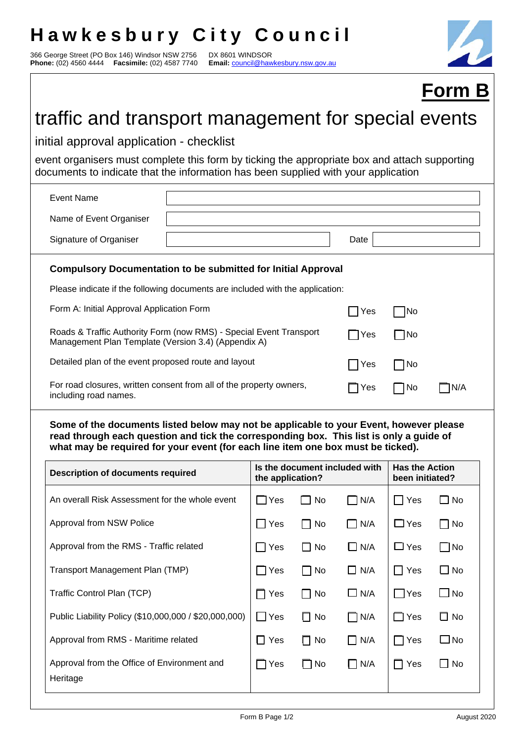## **Hawkesbury City Council**

366 George Street (PO Box 146) Windsor NSW 2756 DX 8601 WINDSOR **Phone:** (02) 4560 4444 **Facsimile:** (02) 4587 7740 **Email:** council@hawkesbury.nsw.gov.au

Heritage



|                                                                                                                                                                                     |                                                                                                                                                                                                                                                                       |                                                   |              |               |                                          | <b>Form B</b> |  |  |  |  |  |  |
|-------------------------------------------------------------------------------------------------------------------------------------------------------------------------------------|-----------------------------------------------------------------------------------------------------------------------------------------------------------------------------------------------------------------------------------------------------------------------|---------------------------------------------------|--------------|---------------|------------------------------------------|---------------|--|--|--|--|--|--|
| traffic and transport management for special events                                                                                                                                 |                                                                                                                                                                                                                                                                       |                                                   |              |               |                                          |               |  |  |  |  |  |  |
| initial approval application - checklist                                                                                                                                            |                                                                                                                                                                                                                                                                       |                                                   |              |               |                                          |               |  |  |  |  |  |  |
| event organisers must complete this form by ticking the appropriate box and attach supporting<br>documents to indicate that the information has been supplied with your application |                                                                                                                                                                                                                                                                       |                                                   |              |               |                                          |               |  |  |  |  |  |  |
| <b>Event Name</b>                                                                                                                                                                   |                                                                                                                                                                                                                                                                       |                                                   |              |               |                                          |               |  |  |  |  |  |  |
| Name of Event Organiser                                                                                                                                                             |                                                                                                                                                                                                                                                                       |                                                   |              |               |                                          |               |  |  |  |  |  |  |
| Signature of Organiser                                                                                                                                                              |                                                                                                                                                                                                                                                                       |                                                   |              | Date          |                                          |               |  |  |  |  |  |  |
| <b>Compulsory Documentation to be submitted for Initial Approval</b>                                                                                                                |                                                                                                                                                                                                                                                                       |                                                   |              |               |                                          |               |  |  |  |  |  |  |
|                                                                                                                                                                                     | Please indicate if the following documents are included with the application:                                                                                                                                                                                         |                                                   |              |               |                                          |               |  |  |  |  |  |  |
| Form A: Initial Approval Application Form                                                                                                                                           |                                                                                                                                                                                                                                                                       |                                                   |              | Yes           | No                                       |               |  |  |  |  |  |  |
| Roads & Traffic Authority Form (now RMS) - Special Event Transport<br>Management Plan Template (Version 3.4) (Appendix A)                                                           |                                                                                                                                                                                                                                                                       | $\bigcap$ Yes                                     | $\Box$ No    |               |                                          |               |  |  |  |  |  |  |
| Detailed plan of the event proposed route and layout                                                                                                                                |                                                                                                                                                                                                                                                                       | Yes                                               | $\Box$ No    |               |                                          |               |  |  |  |  |  |  |
| including road names.                                                                                                                                                               | For road closures, written consent from all of the property owners,                                                                                                                                                                                                   |                                                   |              | 7Yes          | No                                       | ]N/A          |  |  |  |  |  |  |
|                                                                                                                                                                                     | Some of the documents listed below may not be applicable to your Event, however please<br>read through each question and tick the corresponding box. This list is only a guide of<br>what may be required for your event (for each line item one box must be ticked). |                                                   |              |               |                                          |               |  |  |  |  |  |  |
| <b>Description of documents required</b>                                                                                                                                            |                                                                                                                                                                                                                                                                       | Is the document included with<br>the application? |              |               | <b>Has the Action</b><br>been initiated? |               |  |  |  |  |  |  |
| An overall Risk Assessment for the whole event                                                                                                                                      |                                                                                                                                                                                                                                                                       | $\Box$ Yes                                        | $\Box$ No    | $\exists$ N/A | $\Box$ Yes                               | $\square$ No  |  |  |  |  |  |  |
| Approval from NSW Police                                                                                                                                                            |                                                                                                                                                                                                                                                                       | $\Box$ Yes                                        | $\Box$ No    | $\Box$ N/A    | $\Box$ Yes                               | $\Box$ No     |  |  |  |  |  |  |
| Approval from the RMS - Traffic related                                                                                                                                             |                                                                                                                                                                                                                                                                       | $\Box$ Yes                                        | $\Box$ No    | $\Box$ N/A    | $\Box$ Yes                               | $\Box$ No     |  |  |  |  |  |  |
| Transport Management Plan (TMP)                                                                                                                                                     |                                                                                                                                                                                                                                                                       | $\Box$ Yes                                        | $\Box$ No    | $\Box$ N/A    | $\Box$ Yes                               | $\square$ No  |  |  |  |  |  |  |
| Traffic Control Plan (TCP)                                                                                                                                                          |                                                                                                                                                                                                                                                                       | 7 Yes                                             | No           | $\Box$ N/A    | $\Box$ Yes                               | $\square$ No  |  |  |  |  |  |  |
| Public Liability Policy (\$10,000,000 / \$20,000,000)                                                                                                                               |                                                                                                                                                                                                                                                                       | $\Box$ Yes                                        | $\Box$ No    | $\Box$ N/A    | $\Box$ Yes                               | $\Box$ No     |  |  |  |  |  |  |
| Approval from RMS - Maritime related                                                                                                                                                |                                                                                                                                                                                                                                                                       | $\Box$ Yes                                        | $\Box$ No    | $\Box$ N/A    | $\Box$ Yes                               | $\square$ No  |  |  |  |  |  |  |
| Approval from the Office of Environment and                                                                                                                                         |                                                                                                                                                                                                                                                                       | 7 Yes                                             | $\square$ No | $\Box$ N/A    | $\Box$ Yes                               | $\Box$ No     |  |  |  |  |  |  |